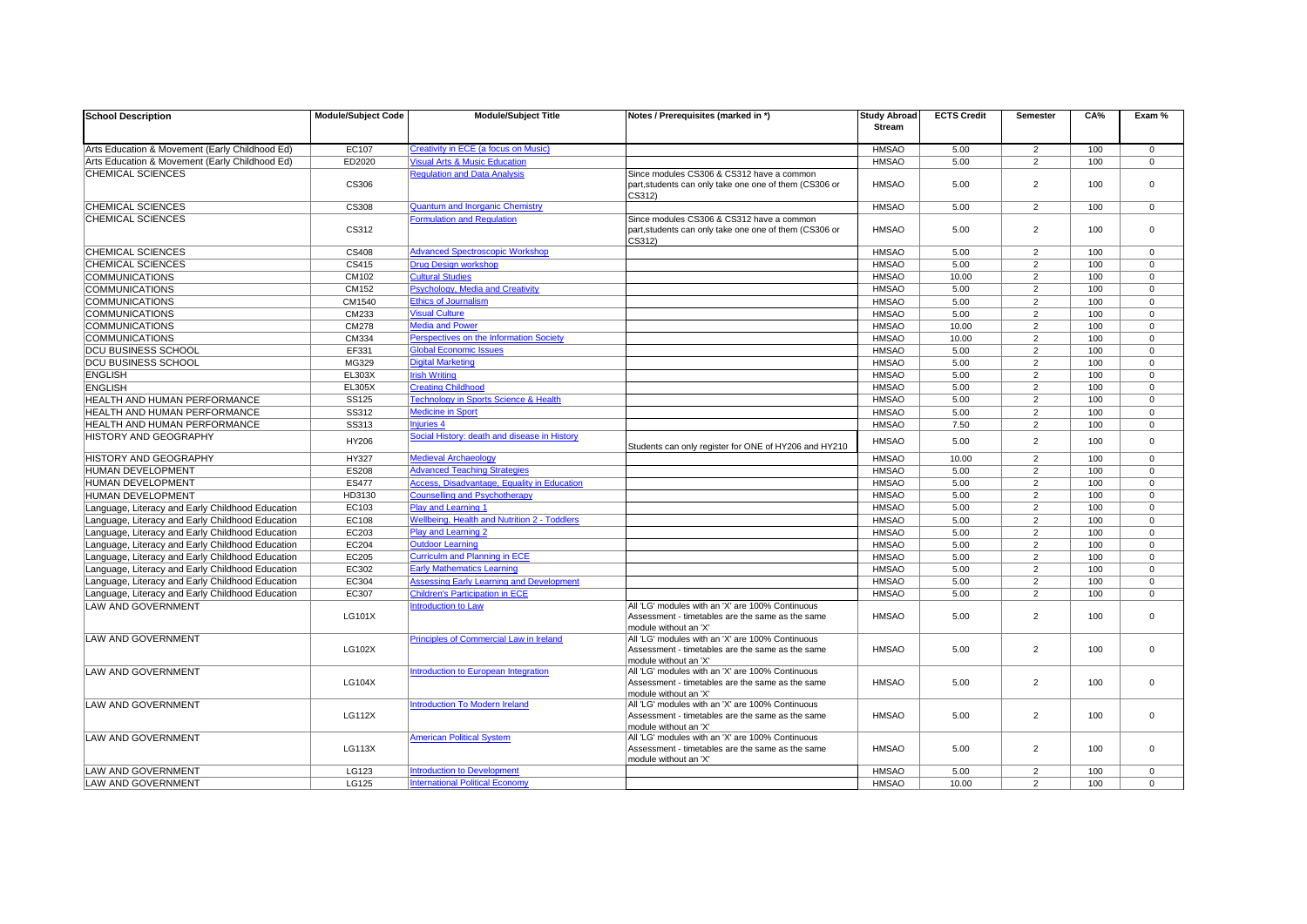| <b>School Description</b>                        | <b>Module/Subject Code</b> | <b>Module/Subject Title</b>                         | Notes / Prerequisites (marked in *)                                       | <b>Study Abroad</b> | <b>ECTS Credit</b> | <b>Semester</b> | CA% | Exam %         |
|--------------------------------------------------|----------------------------|-----------------------------------------------------|---------------------------------------------------------------------------|---------------------|--------------------|-----------------|-----|----------------|
|                                                  |                            |                                                     |                                                                           | <b>Stream</b>       |                    |                 |     |                |
| Arts Education & Movement (Early Childhood Ed)   | EC107                      | <b>Creativity in ECE (a focus on Music)</b>         |                                                                           | <b>HMSAO</b>        | 5.00               | $\overline{2}$  | 100 | $\Omega$       |
| Arts Education & Movement (Early Childhood Ed)   | ED2020                     | <b>Visual Arts &amp; Music Education</b>            |                                                                           | <b>HMSAO</b>        | 5.00               | $\overline{2}$  | 100 | $\overline{0}$ |
| <b>CHEMICAL SCIENCES</b>                         |                            | <b>Regulation and Data Analysis</b>                 | Since modules CS306 & CS312 have a common                                 |                     |                    |                 |     |                |
|                                                  | <b>CS306</b>               |                                                     | part, students can only take one one of them (CS306 or<br>CS312)          | <b>HMSAO</b>        | 5.00               | $\overline{2}$  | 100 | $\Omega$       |
| <b>CHEMICAL SCIENCES</b>                         | <b>CS308</b>               | <b>Quantum and Inorganic Chemistry</b>              |                                                                           | <b>HMSAO</b>        | 5.00               | $2^{\circ}$     | 100 | $\overline{0}$ |
| <b>CHEMICAL SCIENCES</b>                         |                            | <b>Formulation and Regulation</b>                   | Since modules CS306 & CS312 have a common                                 |                     |                    |                 |     |                |
|                                                  | CS312                      |                                                     | part, students can only take one one of them (CS306 or<br>CS312)          | <b>HMSAO</b>        | 5.00               | $\overline{2}$  | 100 | $\Omega$       |
| <b>CHEMICAL SCIENCES</b>                         | <b>CS408</b>               | <b>Advanced Spectroscopic Workshop</b>              |                                                                           | <b>HMSAO</b>        | 5.00               | $2^{\circ}$     | 100 | $\Omega$       |
| <b>CHEMICAL SCIENCES</b>                         | CS415                      | <b>Drug Design workshop</b>                         |                                                                           | <b>HMSAO</b>        | 5.00               | $\overline{2}$  | 100 | $\Omega$       |
| <b>COMMUNICATIONS</b>                            | CM102                      | <b>Cultural Studies</b>                             |                                                                           | <b>HMSAO</b>        | 10.00              | $2^{\circ}$     | 100 | $\Omega$       |
| <b>COMMUNICATIONS</b>                            | CM152                      | <b>Psychology, Media and Creativity</b>             |                                                                           | <b>HMSAO</b>        | 5.00               | $\overline{2}$  | 100 | $\Omega$       |
| <b>COMMUNICATIONS</b>                            | CM1540                     | <b>Ethics of Journalism</b>                         |                                                                           | <b>HMSAO</b>        | 5.00               | $2^{\circ}$     | 100 | $\Omega$       |
| <b>COMMUNICATIONS</b>                            | CM233                      | <b>Visual Culture</b>                               |                                                                           | <b>HMSAO</b>        | 5.00               | $2^{\circ}$     | 100 | $\Omega$       |
| <b>COMMUNICATIONS</b>                            | CM278                      | <b>Media and Power</b>                              |                                                                           | <b>HMSAO</b>        | 10.00              | $\overline{2}$  | 100 | $\overline{0}$ |
| <b>COMMUNICATIONS</b>                            | CM334                      | Perspectives on the Information Society             |                                                                           | <b>HMSAO</b>        | 10.00              | $\overline{2}$  | 100 | $\Omega$       |
| <b>DCU BUSINESS SCHOOL</b>                       | EF331                      | <b>Global Economic Issues</b>                       |                                                                           | <b>HMSAO</b>        | 5.00               | $2^{\circ}$     | 100 | $\Omega$       |
| <b>DCU BUSINESS SCHOOL</b>                       | MG329                      | <b>Digital Marketing</b>                            |                                                                           | <b>HMSAO</b>        | 5.00               | $\overline{2}$  | 100 | $\Omega$       |
| <b>ENGLISH</b>                                   | <b>EL303X</b>              | <b>Irish Writing</b>                                |                                                                           | <b>HMSAO</b>        | 5.00               | $\overline{2}$  | 100 | $\Omega$       |
| <b>ENGLISH</b>                                   | <b>EL305X</b>              | <b>Creating Childhood</b>                           |                                                                           | <b>HMSAO</b>        | 5.00               | $\overline{2}$  | 100 | $\Omega$       |
| <b>HEALTH AND HUMAN PERFORMANCE</b>              | <b>SS125</b>               | <b>Technology in Sports Science &amp; Health</b>    |                                                                           | <b>HMSAO</b>        | 5.00               | $\overline{2}$  | 100 | $\overline{0}$ |
| <b>HEALTH AND HUMAN PERFORMANCE</b>              | SS312                      | <b>Medicine in Sport</b>                            |                                                                           | <b>HMSAO</b>        | 5.00               | $\overline{2}$  | 100 | $\Omega$       |
| <b>HEALTH AND HUMAN PERFORMANCE</b>              | <b>SS313</b>               | <b>Injuries 4</b>                                   |                                                                           | <b>HMSAO</b>        | 7.50               | $\overline{2}$  | 100 | $\overline{0}$ |
| <b>HISTORY AND GEOGRAPHY</b>                     | HY206                      | Social History: death and disease in History        | Students can only register for ONE of HY206 and HY210                     | <b>HMSAO</b>        | 5.00               | $\overline{2}$  | 100 | $\Omega$       |
| HISTORY AND GEOGRAPHY                            | HY327                      | <b>Medieval Archaeology</b>                         |                                                                           | <b>HMSAO</b>        | 10.00              | $2^{\circ}$     | 100 | $\Omega$       |
| HUMAN DEVELOPMENT                                | <b>ES208</b>               | <b>Advanced Teaching Strategies</b>                 |                                                                           | <b>HMSAO</b>        | 5.00               | 2               | 100 | $\overline{0}$ |
| <b>HUMAN DEVELOPMENT</b>                         | <b>ES477</b>               | Access, Disadvantage, Equality in Education         |                                                                           | <b>HMSAO</b>        | 5.00               | $\overline{2}$  | 100 | $\Omega$       |
| HUMAN DEVELOPMENT                                | HD3130                     | <b>Counselling and Psychotherapy</b>                |                                                                           | <b>HMSAO</b>        | 5.00               | $\overline{2}$  | 100 | $\overline{0}$ |
| Language, Literacy and Early Childhood Education | EC103                      | Play and Learning 1                                 |                                                                           | <b>HMSAO</b>        | 5.00               | 2               | 100 | $\Omega$       |
| Language, Literacy and Early Childhood Education | EC108                      | <b>Wellbeing, Health and Nutrition 2 - Toddlers</b> |                                                                           | <b>HMSAO</b>        | 5.00               | 2               | 100 | $\Omega$       |
| Language, Literacy and Early Childhood Education | EC203                      | <b>Play and Learning 2</b>                          |                                                                           | <b>HMSAO</b>        | 5.00               | $2^{\circ}$     | 100 | $\Omega$       |
| Language, Literacy and Early Childhood Education | EC204                      | <b>Outdoor Learning</b>                             |                                                                           | <b>HMSAO</b>        | 5.00               | $\overline{2}$  | 100 | $\overline{0}$ |
| Language, Literacy and Early Childhood Education | EC205                      | <b>Curriculm and Planning in ECE</b>                |                                                                           | <b>HMSAO</b>        | 5.00               | $\overline{2}$  | 100 | $\Omega$       |
| Language, Literacy and Early Childhood Education | EC302                      | <b>Early Mathematics Learning</b>                   |                                                                           | <b>HMSAO</b>        | 5.00               | $\overline{2}$  | 100 | $\overline{0}$ |
| Language, Literacy and Early Childhood Education | EC304                      | <b>Assessing Early Learning and Development</b>     |                                                                           | <b>HMSAO</b>        | 5.00               | $\overline{2}$  | 100 | $\overline{0}$ |
| Language, Literacy and Early Childhood Education | <b>EC307</b>               | <b>Children's Participation in ECE</b>              |                                                                           | <b>HMSAO</b>        | 5.00               | $\overline{2}$  | 100 | $\Omega$       |
| <b>LAW AND GOVERNMENT</b>                        |                            | <b>Introduction to Law</b>                          | All 'LG' modules with an 'X' are 100% Continuous                          |                     |                    |                 |     |                |
|                                                  | <b>LG101X</b>              |                                                     | Assessment - timetables are the same as the same                          | <b>HMSAO</b>        | 5.00               | $\overline{2}$  | 100 | $\Omega$       |
| <b>LAW AND GOVERNMENT</b>                        |                            | Principles of Commercial Law in Ireland             | module without an 'X'<br>All 'LG' modules with an 'X' are 100% Continuous |                     |                    |                 |     |                |
|                                                  | <b>LG102X</b>              |                                                     | Assessment - timetables are the same as the same                          | <b>HMSAO</b>        | 5.00               | $\overline{2}$  | 100 | $\Omega$       |
|                                                  |                            |                                                     | module without an 'X'                                                     |                     |                    |                 |     |                |
| LAW AND GOVERNMENT                               |                            | Introduction to European Integration                | All 'LG' modules with an 'X' are 100% Continuous                          |                     |                    |                 |     |                |
|                                                  | <b>LG104X</b>              |                                                     | Assessment - timetables are the same as the same                          | <b>HMSAO</b>        | 5.00               | $\overline{2}$  | 100 | $\Omega$       |
|                                                  |                            |                                                     | module without an 'X'<br>All 'LG' modules with an 'X' are 100% Continuous |                     |                    |                 |     |                |
| <b>LAW AND GOVERNMENT</b>                        | <b>LG112X</b>              | <b>Introduction To Modern Ireland</b>               | Assessment - timetables are the same as the same                          | <b>HMSAO</b>        | 5.00               | $\overline{2}$  | 100 | $\overline{0}$ |
|                                                  |                            |                                                     | module without an 'X'                                                     |                     |                    |                 |     |                |
| <b>LAW AND GOVERNMENT</b>                        |                            | <b>American Political System</b>                    | All 'LG' modules with an 'X' are 100% Continuous                          |                     |                    |                 |     |                |
|                                                  | <b>LG113X</b>              |                                                     | Assessment - timetables are the same as the same                          | <b>HMSAO</b>        | 5.00               | $\overline{2}$  | 100 | $\Omega$       |
| <b>LAW AND GOVERNMENT</b>                        | LG123                      | <b>Introduction to Development</b>                  | module without an 'X'                                                     | <b>HMSAO</b>        | 5.00               | $\overline{2}$  | 100 | $\overline{0}$ |
| <b>LAW AND GOVERNMENT</b>                        | LG125                      | <b>International Political Economy</b>              |                                                                           | <b>HMSAO</b>        | 10.00              | $2^{\circ}$     | 100 | $\Omega$       |
|                                                  |                            |                                                     |                                                                           |                     |                    |                 |     |                |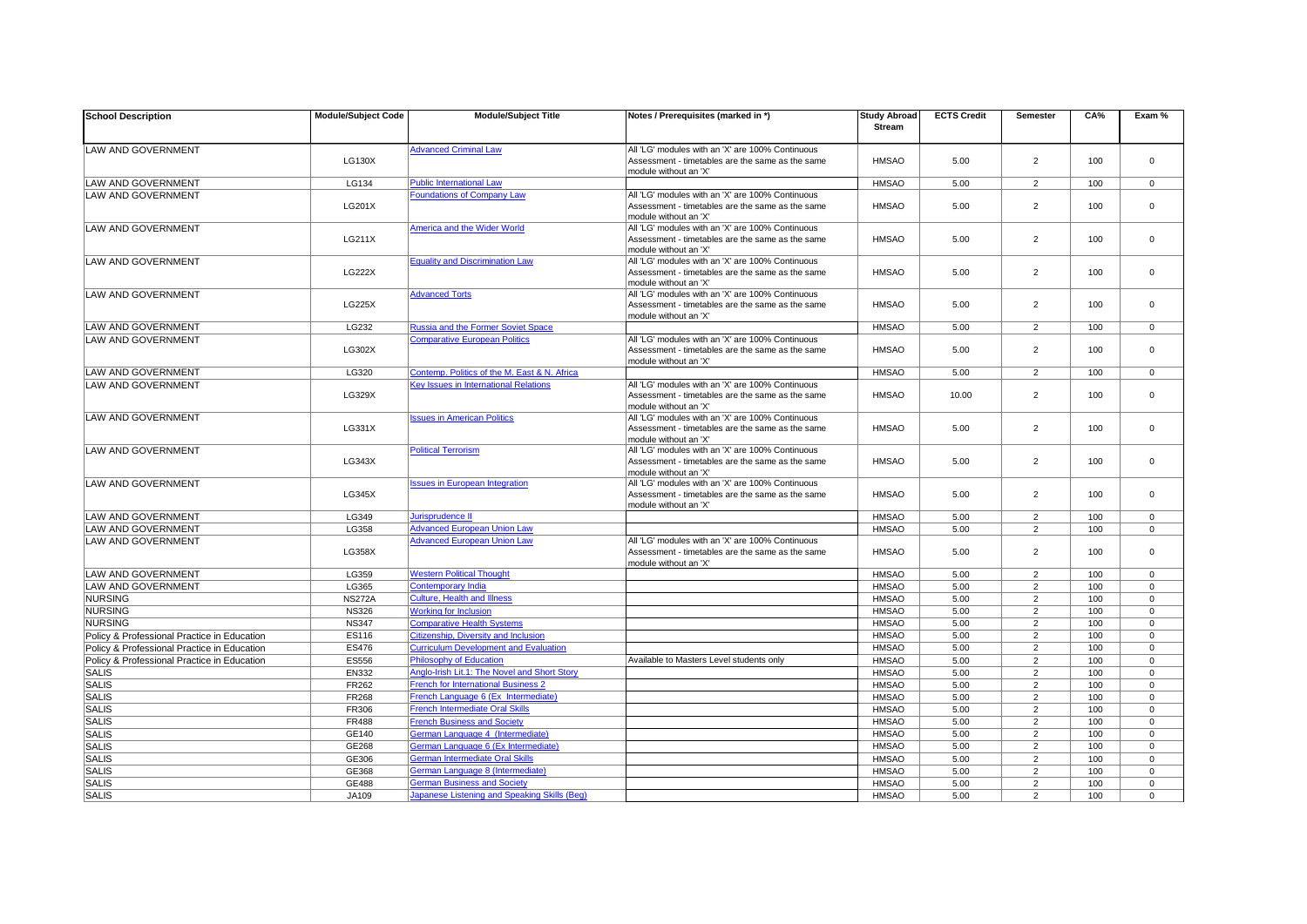| <b>School Description</b>                   | <b>Module/Subject Code</b> | <b>Module/Subject Title</b>                                                        | Notes / Prerequisites (marked in *)                                                                  | <b>Study Abroad</b> | <b>ECTS Credit</b> | <b>Semester</b> | CA% | Exam %         |
|---------------------------------------------|----------------------------|------------------------------------------------------------------------------------|------------------------------------------------------------------------------------------------------|---------------------|--------------------|-----------------|-----|----------------|
|                                             |                            |                                                                                    |                                                                                                      | <b>Stream</b>       |                    |                 |     |                |
| LAW AND GOVERNMENT                          |                            | <b>Advanced Criminal Law</b>                                                       | All 'LG' modules with an 'X' are 100% Continuous                                                     |                     |                    |                 |     |                |
|                                             | <b>LG130X</b>              |                                                                                    | Assessment - timetables are the same as the same                                                     | <b>HMSAO</b>        | 5.00               | $\overline{2}$  | 100 | $\Omega$       |
|                                             |                            |                                                                                    | module without an 'X'                                                                                |                     |                    |                 |     |                |
| <b>LAW AND GOVERNMENT</b>                   | LG134                      | <b>Public International Law</b>                                                    |                                                                                                      | <b>HMSAO</b>        | 5.00               | $\overline{2}$  | 100 | $\Omega$       |
| LAW AND GOVERNMENT                          |                            | <b>Foundations of Company Law</b>                                                  | All 'LG' modules with an 'X' are 100% Continuous                                                     |                     |                    |                 |     |                |
|                                             | <b>LG201X</b>              |                                                                                    | Assessment - timetables are the same as the same                                                     | <b>HMSAO</b>        | 5.00               | $\overline{2}$  | 100 | $\Omega$       |
|                                             |                            |                                                                                    | module without an 'X'<br>All 'LG' modules with an 'X' are 100% Continuous                            |                     |                    |                 |     |                |
| <b>LAW AND GOVERNMENT</b>                   | <b>LG211X</b>              | America and the Wider World                                                        | Assessment - timetables are the same as the same                                                     | <b>HMSAO</b>        | 5.00               | $\overline{2}$  | 100 | $\Omega$       |
|                                             |                            |                                                                                    | module without an 'X'                                                                                |                     |                    |                 |     |                |
| LAW AND GOVERNMENT                          |                            | <b>Equality and Discrimination Law</b>                                             | All 'LG' modules with an 'X' are 100% Continuous                                                     |                     |                    |                 |     |                |
|                                             | <b>LG222X</b>              |                                                                                    | Assessment - timetables are the same as the same                                                     | <b>HMSAO</b>        | 5.00               | $\overline{2}$  | 100 | $\Omega$       |
|                                             |                            |                                                                                    | module without an 'X'                                                                                |                     |                    |                 |     |                |
| <b>LAW AND GOVERNMENT</b>                   |                            | <b>Advanced Torts</b>                                                              | All 'LG' modules with an 'X' are 100% Continuous                                                     |                     |                    |                 |     |                |
|                                             | <b>LG225X</b>              |                                                                                    | Assessment - timetables are the same as the same                                                     | <b>HMSAO</b>        | 5.00               | $\overline{2}$  | 100 | $\Omega$       |
|                                             |                            |                                                                                    | module without an 'X'                                                                                |                     |                    |                 |     |                |
| <b>LAW AND GOVERNMENT</b>                   | LG232                      | <b>Russia and the Former Soviet Space</b>                                          |                                                                                                      | <b>HMSAO</b>        | 5.00               | $\overline{2}$  | 100 | $\overline{0}$ |
| LAW AND GOVERNMENT                          | LG302X                     | <b>Comparative European Politics</b>                                               | All 'LG' modules with an 'X' are 100% Continuous<br>Assessment - timetables are the same as the same | <b>HMSAO</b>        | 5.00               | $\overline{2}$  | 100 | $\Omega$       |
|                                             |                            |                                                                                    | module without an 'X'                                                                                |                     |                    |                 |     |                |
| <b>LAW AND GOVERNMENT</b>                   | LG320                      | Contemp. Politics of the M. East & N. Africa                                       |                                                                                                      | <b>HMSAO</b>        | 5.00               | $\overline{2}$  | 100 | $\Omega$       |
| <b>LAW AND GOVERNMENT</b>                   |                            | Key Issues in International Relations                                              | All 'LG' modules with an 'X' are 100% Continuous                                                     |                     |                    |                 |     |                |
|                                             | LG329X                     |                                                                                    | Assessment - timetables are the same as the same                                                     | <b>HMSAO</b>        | 10.00              | $\overline{2}$  | 100 | $\Omega$       |
|                                             |                            |                                                                                    | module without an 'X'                                                                                |                     |                    |                 |     |                |
| LAW AND GOVERNMENT                          |                            | <b>Issues in American Politics</b>                                                 | All 'LG' modules with an 'X' are 100% Continuous                                                     |                     |                    |                 |     |                |
|                                             | LG331X                     |                                                                                    | Assessment - timetables are the same as the same                                                     | <b>HMSAO</b>        | 5.00               | $\overline{2}$  | 100 | $\Omega$       |
| <b>LAW AND GOVERNMENT</b>                   |                            |                                                                                    | module without an 'X'                                                                                |                     |                    |                 |     |                |
|                                             | LG343X                     | <b>Political Terrorism</b>                                                         | All 'LG' modules with an 'X' are 100% Continuous                                                     | <b>HMSAO</b>        | 5.00               |                 |     | $\Omega$       |
|                                             |                            |                                                                                    | Assessment - timetables are the same as the same<br>module without an 'X'                            |                     |                    | $\overline{2}$  | 100 |                |
| LAW AND GOVERNMENT                          |                            | <b>Issues in European Integration</b>                                              | All 'LG' modules with an 'X' are 100% Continuous                                                     | <b>HMSAO</b>        |                    |                 |     |                |
|                                             | <b>LG345X</b>              |                                                                                    | Assessment - timetables are the same as the same                                                     |                     | 5.00               | 2               | 100 |                |
|                                             |                            |                                                                                    | module without an 'X'                                                                                |                     |                    |                 |     |                |
| LAW AND GOVERNMENT                          | LG349                      | Jurisprudence II                                                                   |                                                                                                      | <b>HMSAO</b>        | 5.00               | $2^{\circ}$     | 100 | $\Omega$       |
| LAW AND GOVERNMENT                          | LG358                      | <b>Advanced European Union Law</b>                                                 |                                                                                                      | <b>HMSAO</b>        | 5.00               | $\overline{2}$  | 100 | $\mathbf 0$    |
| LAW AND GOVERNMENT                          |                            | <b>Advanced European Union Law</b>                                                 | All 'LG' modules with an 'X' are 100% Continuous                                                     |                     |                    | $\overline{2}$  |     | $\Omega$       |
|                                             | <b>LG358X</b>              |                                                                                    | Assessment - timetables are the same as the same                                                     | <b>HMSAO</b>        | 5.00               |                 | 100 |                |
|                                             |                            |                                                                                    | module without an 'X'                                                                                |                     |                    |                 |     |                |
| LAW AND GOVERNMENT                          | LG359                      | <b>Western Political Thought</b>                                                   |                                                                                                      | <b>HMSAO</b>        | 5.00               | $2^{\circ}$     | 100 | $\Omega$       |
| LAW AND GOVERNMENT                          | LG365                      | <b>Contemporary India</b>                                                          |                                                                                                      | <b>HMSAO</b>        | 5.00               | $\overline{2}$  | 100 | $\overline{0}$ |
| <b>NURSING</b>                              | <b>NS272A</b>              | <b>Culture, Health and Illness</b>                                                 |                                                                                                      | <b>HMSAO</b>        | 5.00               | $\overline{2}$  | 100 | $\Omega$       |
| NURSING                                     | <b>NS326</b>               | <b>Working for Inclusion</b>                                                       |                                                                                                      | <b>HMSAO</b>        | 5.00               | $2^{\circ}$     | 100 | - 0            |
| NURSING                                     | <b>NS347</b>               | <b>Comparative Health Systems</b>                                                  |                                                                                                      | <b>HMSAO</b>        | 5.00               | $\overline{2}$  | 100 | $\overline{0}$ |
| Policy & Professional Practice in Education | <b>ES116</b>               | Citizenship, Diversity and Inclusion                                               |                                                                                                      | <b>HMSAO</b>        | 5.00               | $\overline{2}$  | 100 | $\Omega$       |
| Policy & Professional Practice in Education | <b>ES476</b>               | <b>Curriculum Development and Evaluation</b>                                       | Available to Masters Level students only                                                             | <b>HMSAO</b>        | 5.00               | $\overline{2}$  | 100 | $\overline{0}$ |
| Policy & Professional Practice in Education | <b>ES556</b>               | <b>Philosophy of Education</b>                                                     |                                                                                                      | <b>HMSAO</b>        | 5.00               | $\overline{2}$  | 100 | $\overline{0}$ |
| SALIS                                       | <b>EN332</b>               | Anglo-Irish Lit.1: The Novel and Short Story                                       |                                                                                                      | <b>HMSAO</b>        | 5.00               | $\overline{2}$  | 100 | $\Omega$       |
| <b>SALIS</b>                                | FR262                      | <b>French for International Business 2</b>                                         |                                                                                                      | <b>HMSAO</b>        | 5.00               | $\overline{2}$  | 100 | $\Omega$       |
| SALIS                                       | <b>FR268</b>               | French Language 6 (Ex Intermediate)                                                |                                                                                                      | <b>HMSAO</b>        | 5.00               | $\overline{2}$  | 100 | $\overline{0}$ |
| SALIS                                       | FR306                      | <b>French Intermediate Oral Skills</b><br><b>French Business and Society</b>       |                                                                                                      | <b>HMSAO</b>        | 5.00               | $\overline{2}$  | 100 | $\Omega$       |
| <b>SALIS</b>                                | <b>FR488</b>               |                                                                                    |                                                                                                      | <b>HMSAO</b>        | 5.00               | $\overline{2}$  | 100 | $\Omega$       |
| SALIS                                       | GE140                      | German Language 4 (Intermediate)                                                   |                                                                                                      | <b>HMSAO</b>        | 5.00               | $\overline{2}$  | 100 | $\Omega$       |
| SALIS                                       | GE268                      | German Language 6 (Ex Intermediate)<br><b>German Intermediate Oral Skills</b>      |                                                                                                      | <b>HMSAO</b>        | 5.00               | $2^{\circ}$     | 100 | - 0            |
| <b>SALIS</b>                                | GE306                      |                                                                                    |                                                                                                      | <b>HMSAO</b>        | 5.00               | $\overline{2}$  | 100 | $\overline{0}$ |
| SALIS                                       | GE368                      | German Language 8 (Intermediate)                                                   |                                                                                                      | <b>HMSAO</b>        | 5.00               | $\overline{2}$  | 100 | $\Omega$       |
| <b>SALIS</b>                                | GE488                      | <b>German Business and Society</b><br>Japanese Listening and Speaking Skills (Beg) |                                                                                                      | <b>HMSAO</b>        | 5.00               | $\overline{2}$  | 100 | $\Omega$       |
| SALIS                                       | <b>JA109</b>               |                                                                                    |                                                                                                      | <b>HMSAO</b>        | 5.00               | $\overline{2}$  | 100 | $\overline{0}$ |